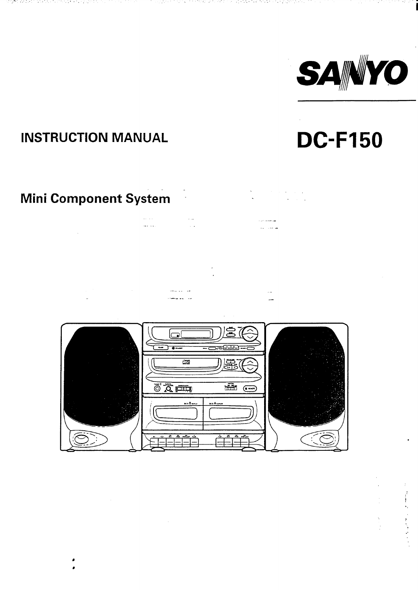

**DC-F150** 

# **INSTRUCTION MANUAL**

ing terminang pangangan at pang

a na tangiy

 $\sim 10$ 

اصا

 $\overline{0}$   $\overline{0}$   $\overline{0}$   $\overline{0}$ 

 $\overline{\mathbb{E}}$ 

n an Christian College and the

# Mini Component System

الرعاء المعا

المهرست بالردا

<del>™</del> ⊂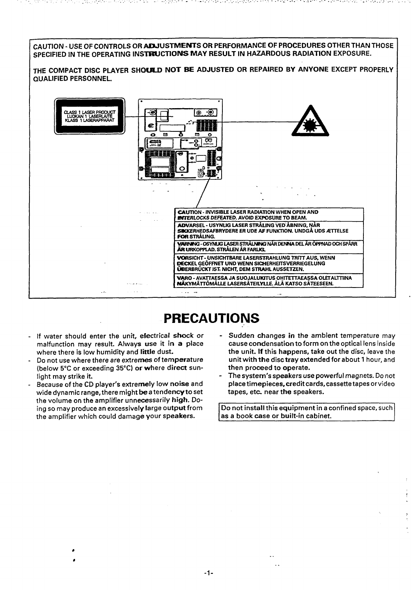

# **PRECAUTIONS**

- If water should enter the unit, electrical shock or malfunction may result. Always use it in a place where there is low humidity and little dust.
- Do not use where there are extremes of temperature (below 5°C or exceeding 35°C) or where direct sunlight may strike it.
- Because of the CD player's extremely low noise and wide dynamic range, there might be a tendency to set the volume on the amplifier unnecessarily high. Doing so may produce an excessively large output from the amplifier which could damage your speakers.
- Sudden changes in the ambient temperature may cause condensation to form on the optical lens inside the unit. If this happens, take out the disc, leave the unit with the disc tray extended for about 1 hour, and then proceed to operate.

The Control of Control of Control

The system's speakers use powerful magnets. Do not place timepieces, credit cards, cassette tapes or video tapes, etc. near the speakers.

Do not install this equipment in a confined space, such as a book case or built-in cabinet.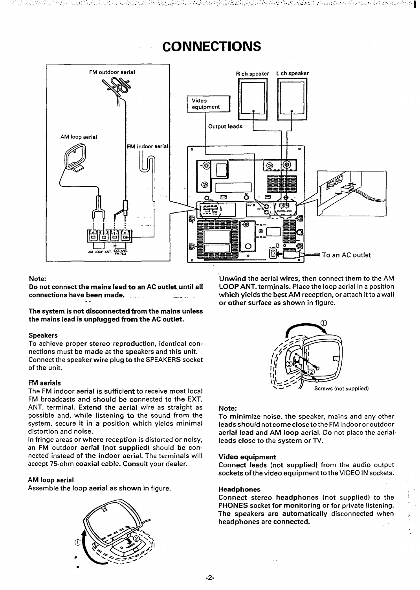# **CONNECTIONS**

hidud alia luku 1919 alia 1919 daga ke maka 1990 berbara yang disebut ke kara bara yang sesela dalam dan sela



### **Note**

**Do not connect the mains Ieadtoan AC outlet. until all connections have been made. . . .. . —- .. . . .**

**The system is not disconnected from the mains unless the mains lead is unplugged from the AC outlet.**

#### **Speakers**

**To achieve proper stereo reproduction, identical connections must be made at the speakers and this unit. Connect the speaker wire plug to the** SPEAKERS socket of the unit.

## **FM aerials**

**The FM indoor aerial is sufficient to receive most local** FM broadcasts and should be connected to the EXT. ANT. **terminal. Extend the aerial wire as straight as possible and, while listening to the sound from the system, secure it in a position which yields minimal distortion and noise.**

**In fringe areas or where reception is distorted or noisy,** an FM outdoor **aerial (not supplied) should be connected instead of the indoor aerial. The terminals will accept 75-ohm coaxial cable. Consult your dealer.**

## **AM loop aerial**

**Assemble the loop aerial as shown in** figure.



**Unwind the aerial wires, then connect them to the AM LOOPANT. terrnjnals. Place the loop aerial in a position which yields the bgst AM reception, or attach it to a wall or other surface as shown in figure.**



#### **Note:**

**To minimize noise, the speaker, mains and any other leads should not come close to the FM** indoor or outdoor aerial lead and **AM loop aerial. Do not place the aerial leads close to the system or TV.**

#### **Video equipment**

**Connect leads (not supplied) from the audio output sockets of the video equipment** to the VIDEO IN sockets.

#### **Headphones (:**

**Connect stereo headphones (not** supplied) to the ! PHONES **socket for monitoring or for private listening. ' The speakers are automatically disconnected when , headphones are connected.**

**-2-**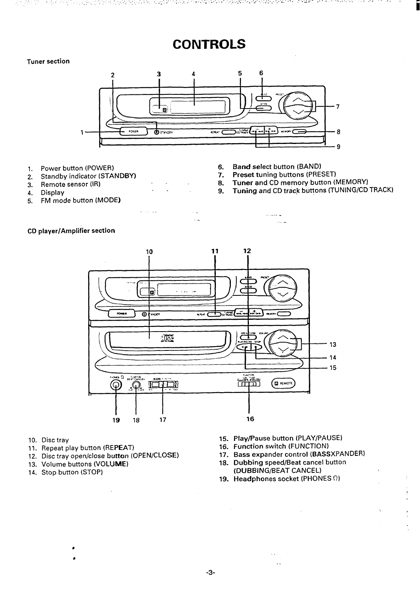# **CONTROLS**

# **Tuner section**



..

in and

- 
- 1. Power button (POWER) 6.<br>
2. Standby indicator (STANDBY) 7. 2. Standby indicator (STANDBY) 7.<br>
Remote sensor (IR) 7.
- 3. Remote sensor  $\langle \mathsf{IR} \rangle$  8.<br>
1. Display 8.<br>
9.
- **4. Display 9.**
- **5. FM mode button** (MODEI
- **Bard select** button (BAND)
- Preset tuning buttons (PRESET)

-+ ... ..

- **Tuner and CD memory button (MEMORY)**
- **Tuning and CD track buttons (TUNING/CD TRACK)**





- 10. Disc tray
- 11. Repeat play button (REPEAT) 16. Function switch (FUNCTION
- 12. Disc tray open/close **button (OPEN/CLOSE) 17. Bass expander control (BASSXPANDER)**

J.

- 
- **14. Stop button (STOP) (DUBBING/BEAT CANCEL)**
- **15. Play/Pause button (PLAY/PAUSE)**
- 
- 

 $\bar{z}$ 

Ţ

- **13. Volume buttons (VOLUME) 18. Dubbing speed/Beat cancel button**
	- **19. Headphones socket (PHONES**  $\Omega$ **)**

. . .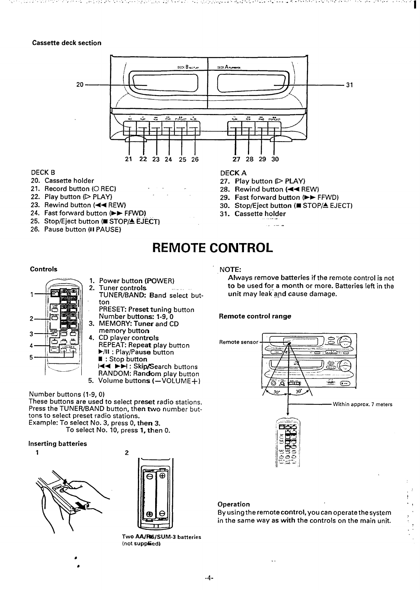# **Cassette deck section**



#### DECK B

- 20. **Cassette holder 27.**
- 21. **Record button (O** REC) 28.
- 22. **Play button (D PLAY) 29.**
- 23. **Rewind button (++** REW) 30.
- 24. **Fast forward button (>> FFWD) 31.**
- 25. Stop/Eject button (■ STOP/▲ EJECT)
- 26. **Pause button (II PAUSE)**

### DECK A

- **Play button (D PLAY)**
- **Rewind button (++ REW)**
- **Fast forward button (E> FFWD)**

**. ..**

- **Stop/Eject button (E STOP/A EJECT)**
- $\frac{1}{2}$

# **REMOTE CONTROL**

#### **Controls**



- **1. Power button (POWER) 2. Tuner controis** TUNER/BAND: Band select but-
- ton PRESET: Preset tuning button Number **buttons: 1-9,0**
- **3.** MEMORY **Tuner and CD memory button**
- **4.** CD **player controls** REPEAT **Repeat play button** ➤/11 : **Play/Pause button H : Stop button**
	- **l++** ➤**H : Ski@earch buttons**
- **RANDOM: Random play button**
- **5. Volume buttons {–VOLUME+)**

**Number buttons (l-9,** o) **These buttons are used to select preset radio stations.** Press the TUNER/BAND button, the**n t**wo number but tons to **select preset radio stations. Example: To select No. 3, press O, then 3.**

**To select No. 10, press** 1,**then O.**

 $\overline{2}$ 

### **Inserting batteries**





Tw**o AA/R6/SUM-3** batteri **(not supp&ed)**

### NOTE:

Always **remove batteries if the remote control is not to be used for a month or more.** Batteries left in the **unit may leak-and cause damage,**

المستوفيات والمستحيلات والمستقيل والمسترين والمستوفي والمستحيل والمستقيل والمستحيل والمستحيل والمتعادل والمستور

## **Remote control range**



### $O$ **peration**

**By using the remote control, you can operate the system , in the same way as with the controls on the main unit. ~**

. .

I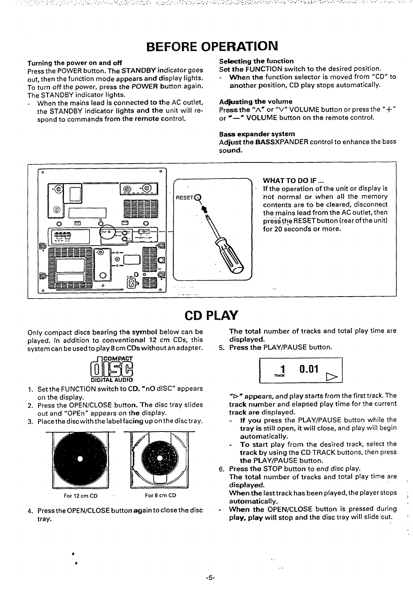# **BEFORE** OPERATION

**Press** the POWER button. **The STANDBY indicator goes Set the FUNCTION switch to the desired position. out, then the function mode appears and display lights. - When the function selector is moved from** "CD" to To **turn off** the **power, press the POWER button again. another position, CD play stops automatically. The STANDBY indicator lights.**

When the mains lead is connected to the AC outlet, **Adjusting the volume**<br>the STANDRY indicator lights and the unit will re-<br>**Press the "A"** or "V" VOLUME button or press the "+" the STANDBY indicator lights and the unit will re-<br>spond to commands from the remote control.  $\sigma'' \rightarrow \sigma''$  VOLUME button on the remote control.  $s$  **spond** to commands from the remote control.

**Turning the power on and off Selecting the function**

### **Bass expander system**

**Adjust the BASSXPANDER control to enhance the bass** sound.



# **CD PLAY**

Only **compact discs bearing the symbol below can be played. In addition to conventional 12 cm CDs, this system can be used to play8 cm CDs without an adapter.**



- 1. **Set** the FUNCTION switch to CD. **'nO dlSC"** appears on the display.
- **2.** Press the OPEN/CLOSE button- **The disc tray slides out and** "OPEn" appears on the display.
- **3.** Place the disc with the label fac**ing** up on the disc tr





**For12cm CD For 8 cm CD**

**4. Press the** OPEN/CLOSE button again to close the disc tray.

**The total number of tracks and total play time are displayed.**

**5. Press the PLAY/PAUSE button.**



**%- appears, and play starts from the first track. The track number and elapsed play time for the current track are displayed.**

- **If you press** the PLAY/PAUSE button **while the tray is still open, it will close, and play will begin automatically.**
- To **start play from the desired track, select the track by using** the CD TRACK buttons, then **press** the **PLAYIPAUSE button.**
- **6. Press the STOP button to end disc play.**

. .

**The total number of tracks and total play time are displayed.**

**When the Iasttrack has been played, the player stops ; automatically.**

**. When the OPEN/CLOSE button is pressed during ' play, play will stop and the disc tray will slide'out. :**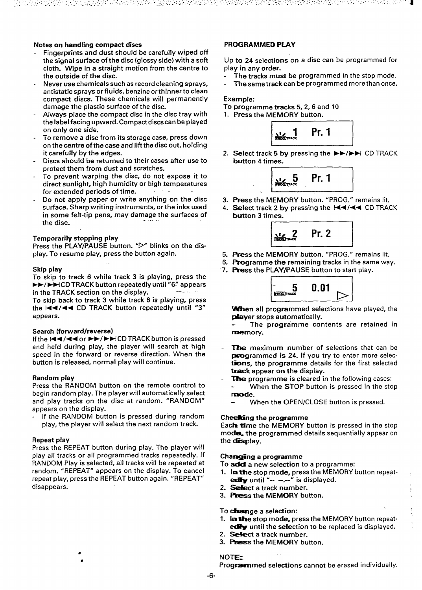# **Notes** on handling compact discs

- **Fingerprints and dust should be carefully wiped off the signal surface of the** disc (glossy **side) with a soft cloth. Wipe in a straight motion from the centre to the outside of the disc.**
- **- Never use chemicals such as record cleaning sprays, antistatic sprays or fluids, benzine orthinnerto clean compact** discs. These chemicals will permanently damage the plastic surface of the **disc.**
- **Always place the compact disc in the disc tray with the Iabelfacing upward. Compact discs can be played on only one side.**
- **-** To **remove a disc from its storage case, press down on the centre of the case and Iiftthe disc out, holding it carefully by the edges.**
- **Discs should be returned to their cases after use to protect them from dust and scratches.**
- **To prevent warping the** disc, do not expose it to direct sunlight, high humidity or **high temperatures for extended periods of time. - - -**
- Do **not apply paper or write anything on the disc surface. Sharp writing instruments, or the inks** used in **some felt-tip pens, may damage the surfaces of . . . the disc.**

#### **Temporarily stopping play**

**Press the PLAY/PAUSE button.** "D" **blinks on the display. To resume play, press the button again.**

#### **Skip play**

**To skip to track 6** while track 3 is playing, **press the F~/ -F1 CD TRACK button repeatedly until "6" appears in** the **TRACK** section on the display.

**To skip back to track 3 while track 6 is playing, press the I++/++ CD TRACK button repeatedly until "3" appears.**

#### **Search (forward/reverse)**

If the **IEE**/ENCD TRACK button is pressed and held during play, the player will search at high **speed in the forward or reverse direction. When the button is released, normal play will continue.**

#### **Random play**

**Press the RANDOM button on the remote control to begin random play.** The player will automatically select and play tracks on the disc at random. "RANDOM" appears on the display.

If the RANDOM button is pressed during random play, the player **will select the next random track.**

#### **Repeat play**

**Press the REPEAT button during** play. The player will play all tracks or all programmed tracks repeatedly. If RANDOM Play is selected, all tracks will be repeated at random. "REPEAT" appears on the display. To cancel repeat play, press the **REPEAT button again. "REPEAT" disappears.**

### PROGRANINIED **PLAY**

Up to 24 selections on a disc can be programmed for play **in any order.**

- **- The tracks must be programmed in the stop mode.**
- **- Thesametrackcan be programmed more than once.**

### **Example:**

- **TO programme tracks 5,2,6 and 10**
- **1. Press the MEMORY button.**



**2. Select track 5 by pressing the E>/>H CD TRACK** button 4 times.

> $\begin{bmatrix} 1 & 1 & 1 \\ 1 & 1 & 1 \end{bmatrix}$  $\frac{1}{\frac{1}{\frac{1}{\cos \theta}} \cdot \frac{5}{\cos \theta}}$  Pr. 1 **I J**

- **3. %ss the MEMORY button. "PROG."** remains lit.
- 4. Select track 2 by pressing the  $\blacktriangleleft \blacktriangleleft \blacktriangleleft \triangleleft \triangleleft \triangleleft \mathsf{C}\mathsf{D}$  TRACK button 3 times.



- **5. Press the MEMORY button. "PROG." remains lit.**
- **6. F%ogramme the remaining tracks in the same way.**
- **7. Ress the PLAY/PAUSE button to start play.**



**-en all programmed selections have played, the player** stops automatically.

The programme contents are retained in memory.

- **~ maximum number of selections that can be programmed** is 24. If you try to enter more selec*ttins,* **the programme details for the first selected track appear on the display.**
- **The programme is cleared in the following cases: When the STOP button is pressed in the stop nx**ode.
	- **When the OPEN/CLOSE button is pressed.**

## Checking the programme

EacFs **time the MEMORY button is pressed in** the stop **mod= the programmed details sequentially appear on** the **desplay**.

#### Changing a programme

To add a new **selection to a programme:**

- **1. Irxthe stop mode, press** the MEMORY button repeatedly until " $-$ " is displayed.
- 2. Select a track number.
- **3. Press the MEMORY button.**

To daamge **a selection:**

- **1. lm~e stop mode, press** the MEMORY button repeatedly until the selection to be replaced is displayed.
- 2. Select a track number.
- 3. Press the MEMORY button.

# **NOTE**

**Programmed selections cannot be erased individually.**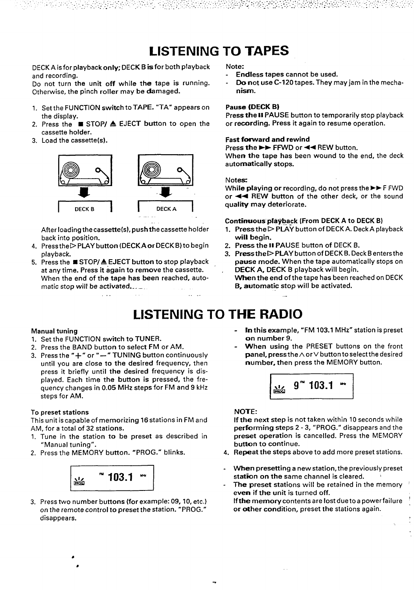# LISTENING **TO** TAPES

DECKA **is for playback onty;** DECK B is for both playback and recording.

Do not turn the unit off while the tape is running. Otherwise, the pinch roller **may** be **damaged.**

- 1. **Set** the FUNCTION switch to TAPE. **"TA'\* appears on the display.**
- **2. Press the STOP/ 4** EJECT **button to open the cassette holder.**
- **3.** Load the cassette(s).



**After loading the cassette(s), push the cassette holder back into position.**

- **4. Press theDPLAYbutton (DECKAor DECKB)to begin playback.**
- **5. Press the = STOP/A** EJECT **button to stop playback at any time. Press it again to remove the cassette. When the end of the tape has been reached, automatic stop will be activated... -. . . . .. .**

**Note:**

**- Endless tapes cannot be used.**

20 ACT ABACTES 그 경우 중요 일어나 2008 PD 100 PD 100 PD 100 PD 100

**-** Do not **use C-120 tapes. They may jam in the mecha**nism.

## Pause (DECK B)

**Press tie II PAUSE button to temporarily stop playback or recording. Press it again to resume operation.**

## **Fast forward and rewind**

**Press tie >> FFWD or 44 REW button.**

**Whert the tape has been wound to the end, the deck automatically stops.**

### Notes:

**While playing or recording, do not press the** ➤**> F FWD or ++ REW button of the other deck, or the sound**  $quality$  may deteriorate.

### **Continuous pla~back (From DECK A to DECK B)**

- $1.$  **Press the**  $\triangleright$  **PLAY** button of DECK A. Deck A playbac will begin.
- **2. Press the II PAUSE button of DECK B.**

**.**

- **3. Press theDPLAYbutton of DECK B. Deck B enters the pause mode. When the tape automatically stops on** DECK A, DECK **B playback will begin.**
- **When the end of the tape has been reached on DECK B, automatic stop will be activated.**

# LISTENING **TO** THE RADIO

**-r**

## **Manual tuning**

- 1. **Set** the FUNCTION switch to TUNER.
- 2. **Press the BAND button to select FM or** AM.
- **3. Press the "+" or "-" TUNING button continuously until you are close to the desired frequency, then** press it briefly until the desired frequency is **displayed. Each time the button is pressed, the frequency changes in 0.05 MHz steps for FM and 9** kHz steps **for AM.**

## **To preset stations**

This unit is capable of memorizing 16stations in **FM and AM, for a total of 32 stations.**

- **1. Tune in the station to be preset as described in "Manual tuning".**
- **2. Press the MEMORY button. "PROG." blinks.**



**3.** Press two number buttons **(for example: 09, 10, etc.) on the remote control to preset the station. "PROG."** disappears.

- **- En this example, "FM 103.1 MHz" station is preset** on **number 9.**
- **- When using the PRESET buttons on the front paneI, pressthe A orV button to select the desired number, then press the MEMORY button.**



## NOTE:

**If** the **next step is not taken within 10** seconds while **performing steps 2-3,** "PROG." disappears and the preset operation is cancelled. **Press the MEMORY button** to continue.

- **4. Repeat the steps above to add more preset stations.**
- when **presetting a new station, the previously preset statkm on the same channel is cleared. >**
- **The preset stations will be retained in the memory '** even **if the unit is turned off. If** the **memory contents are lost due to a power failure ~ or** alher condition, **preset the stations again.**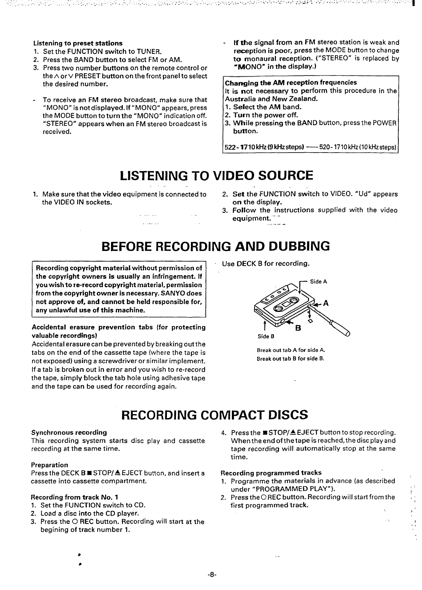- **1.** Set tie FUNCTION switch to TUNER.
- **2.** Press the BAND button to select **FM or** AM.
- **3. Press two number buttons on the remote control or** the A **orV** PRESET button on the front pane! to select the desired number.
- . To receive an **FM stereo broadcast, make sure that "MONO" is not displayed. If "MONO" appears, press the MODE button toturnthe "MONO" indication off. "STEREO" appears when an FM stereo broadcast is received.**
- **Listening to preset stations If tbe sianal from art FM stereo station is weak and reception is poor, press the MODE** button to change to monaural reception. ("STEREO" is replaced by 'MONO" in the display.)

# Changing the AM reception frequencies

[t is not necessa~ **to perform this procedure in the Australia and New Zealand.**

- **1. Select the AM band.**
- **2. Turn the power off.**
- **3. While pressing the BAND button, press** the POWER button.

**1522 -1710 kHz(9kHzsteps) —520-1710kHz(10 kHzsteps) I**

# LISTENING TO VIDEO SOURCE .-.

1. **Make sure that the video equipment is connected to 2. the VIDEO IN sockets.**

> المستعملين and a control

- Set **the 4WNCTION switch to ViDEO. "Ud"** appears on the display.
- Follow the instructions supplied with the video equipment. ........-

# **BEFORE RECORDING** AND DUBBING

**Recording copyright material without permission of Use DECK <sup>B</sup> for recording. the** copyright **owners is usually an infringement. If you wish tore-record copyright material, permission from the copyright** owner is **necessary. SANYO does** not **approve** of, and cannot be **held responsible** for, **any unlawful use of this machine. ..**

# **Accidental erasure prevention tabs (for protecting t B" valuable recordings)** Side B and Side B and Side B and Side B

Accidental erasure can be prevented by breaking outthe tabs on the end of the cassette tape **(where the tape is Break out tab <sup>A</sup> for side A. not exposed) using** a screwdriver or similar implement. **If a tab is broken out in error and you wish to re-record the tape, simply block the tab hole using adhesive tape and the tape can be used** for recording again.



# **RECORDING COMPACT DISCS**

## **Synchronous recording 4.**

**This recording system starts disc play and cassette recording at the same time.**

### **Preparation**

**Press the DECK B** ■ **STOP/4 EJECT button, and insert a Recording programmed tracks** cassette into cassette compartment. 1. Programme the materials in advance (as described

- 1. Set the FUNCTION switch to CD. **First** programmed track.
- 2. Load **<sup>a</sup> disc into the CD player. \**
- **3. Press the O** REC **button. Recording will start at the begining of track number 1.**

**Press the** ■ **STOP/A EJECT** button to stop recording. When the **end of the tape is reached, the disc play and tape recording will automatically stop at the same time.**

- under "PROGRAMMED PLAY").
- Recording from track No. 1 2. **Press the OREC** button. Recording will start from the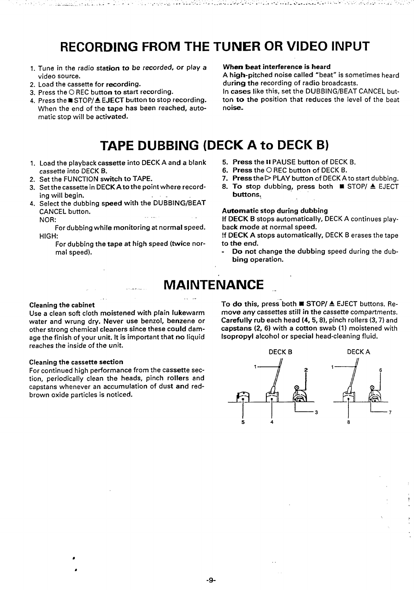# **RECORDING** FROM THE TUNER OR VIDEO INPUT

- 1. Tune in the radio station to be recorded, or play a video source.
- **2. Load the cassette for recording.**
- **3. Press** the O REC button to start recording.
- 4. Press the **STOP/A** EJECT **button to stop recording. When the** end of the tape has been reached, automatic stop will be **activated.**

## When beat interference is heard

A high-pitched **noise called "beat" is sometimes heard during the recording of radio broadcasts.**

**In cases like this, set** the DUBBING/BEAT CANCEL button to the position that reduces the **level of the beat noise-**

# TAPE DUBBING **(DECtC A to DECK B)**

- **1. Load the playback cassette into DECKA and a blank cassette into DECK B.**
- **2. Set the FUNCTION switch to TAPE.**
- **3. Set the cassette in DECK Atothe point** where record**ing will begin.**
- **4. Select the dubbing** speed with the-DUBBING/BEAT CANCEL button. .-

NOR:

**For dubbing while monitoring at normal** speed. **HIGH:**

**For dubbing the tape at high speed (twice normal speed).**

- **5.** Press **the 11**PAUSE button of DECK B.
- 6. Press **the O REC button of DECK B.**
- 7. Press the  $\triangleright$  PLAY button of DECK A to start dubbing.
- 8. To stop dubbing, **press both N STOP/ A EJECT** buttons,

# Automatic **stop during dubbing**

**If** DECK B **stops automatically,** DECK A continues playback **mode at normal speed.**

**!f** DECK A **stops automatically,** DECK B erases the tape **to the end.**

**-** Do **not change the dubbing speed during the dub**bing **operation.**

# **MAINTENANCE**

... .,

#### **Cleaning the cabinet**

Use **a clean soft cloth moistened with plain lukewarm water and wrung dry. Never use benzol, benzene or other strong chemical cleaners since these could damage the finish of your unit. It is important that no liquid reaches the inside of the unit.**

### **Cleaning the cassette section**

**For continued high performance from the cassette section, periodically clean the heads, pinch rollers and capstans whenever an accumulation of dust** and red**brown oxide particles is** noticed.

To do this, press both ■ STOP/ ▲ EJECT buttons. Remove any cassettes still in the cassette compartments. Carefully rub each head (4, 5, 8), pinch rollers (3,7) and capstans (2, 6) with a cotton swab (1) moistened with Isopropyl alcohol or special head-cleaning fluid.



I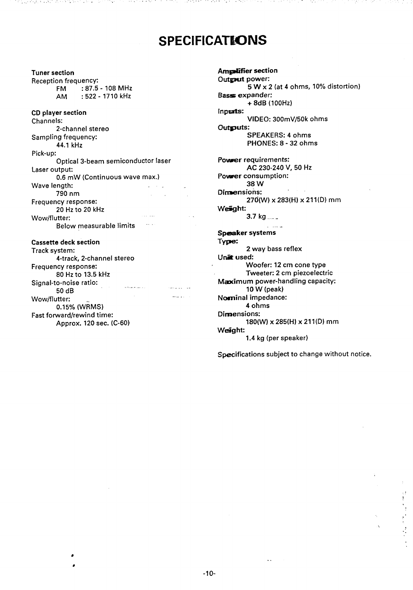# **SPECIFICATkONS**

**Tuner section Reception frequency:** FM :87.5-108 MHz **AM :522-1710 kHz CD player section Channels: 2-channel stereo Sampling frequency: 44.1 kHz Pick-up: Optical 3-beam semiconductor laser Laser output: 0.6 mW (Continuous wave max.) Wave length: 790 nm Frequency response: 20 Hz to 20 kHz Wow/flutter: .- Below measurable limits " Cassette deck section**

医腹膜炎 医无线性 医单位性 医鼻

#### **Track system: 4-track, 2-channel stereo Frequency response: 80 Hz to 13.5 kHz Signal-to-noise ratio:** and a company .. . .. .,, **50 dB** —.. **Wow/flutter: 0.15% (WRMS) Fast forward/rewind time: Approx. 120 sec. (C-60)**

**Amplifier section Output powec 5 W x 2 (at 4 ohms, 10% distortion) Basas expander: + 8dB (I OOHZ) Inpw@: VIDEO: 300mV/50k** ohms Outgouts: SPEAKERS: 4 ohms PHONES: 8-32 ohms Pouwer **requirements: AC 230-240 V, 50 Hz Power consumption: 38 W**  $\sim$ Dimensions: 27Q(W) x 283(H) x 211(D) **mm** We5@ht: 3.7 kg .... . . Speaker systems Type: 2 **way bass reflex** Unit used: Woofer: 12 cm cone type Tweeter: 2 cm piezoelectric Maximum power-handling capacity: 10 W (peak) **Nosninal impedance: 4** ohms Dimensions: 180(W) x 285(H) x 211(D) **mm** Weight:

**1.4 kg (per speaker)**

**Specifications subject to change without notice.**

,.

 $\frac{1}{2}$